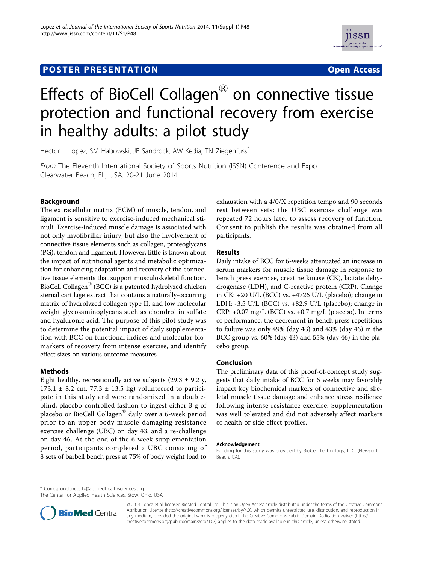# **POSTER PRESENTATION CONSUMING THE SERVICE SERVICE SERVICES**



# Effects of BioCell Collagen® on connective tissue protection and functional recovery from exercise in healthy adults: a pilot study

Hector L Lopez, SM Habowski, JE Sandrock, AW Kedia, TN Ziegenfuss<sup>\*</sup>

From The Eleventh International Society of Sports Nutrition (ISSN) Conference and Expo Clearwater Beach, FL, USA. 20-21 June 2014

## Background

The extracellular matrix (ECM) of muscle, tendon, and ligament is sensitive to exercise-induced mechanical stimuli. Exercise-induced muscle damage is associated with not only myofibrillar injury, but also the involvement of connective tissue elements such as collagen, proteoglycans (PG), tendon and ligament. However, little is known about the impact of nutritional agents and metabolic optimization for enhancing adaptation and recovery of the connective tissue elements that support musculoskeletal function. BioCell Collagen® (BCC) is a patented hydrolyzed chicken sternal cartilage extract that contains a naturally-occurring matrix of hydrolyzed collagen type II, and low molecular weight glycosaminoglycans such as chondroitin sulfate and hyaluronic acid. The purpose of this pilot study was to determine the potential impact of daily supplementation with BCC on functional indices and molecular biomarkers of recovery from intense exercise, and identify effect sizes on various outcome measures.

### Methods

Eight healthy, recreationally active subjects (29.3  $\pm$  9.2 y,  $173.1 \pm 8.2$  cm,  $77.3 \pm 13.5$  kg) volunteered to participate in this study and were randomized in a doubleblind, placebo-controlled fashion to ingest either 3 g of placebo or BioCell Collagen® daily over a 6-week period prior to an upper body muscle-damaging resistance exercise challenge (UBC) on day 43, and a re-challenge on day 46. At the end of the 6-week supplementation period, participants completed a UBC consisting of 8 sets of barbell bench press at 75% of body weight load to

exhaustion with a 4/0/X repetition tempo and 90 seconds rest between sets; the UBC exercise challenge was repeated 72 hours later to assess recovery of function. Consent to publish the results was obtained from all participants.

### Results

Daily intake of BCC for 6-weeks attenuated an increase in serum markers for muscle tissue damage in response to bench press exercise, creatine kinase (CK), lactate dehydrogenase (LDH), and C-reactive protein (CRP). Change in CK: +20 U/L (BCC) vs. +4726 U/L (placebo); change in LDH: -3.5 U/L (BCC) vs. +82.9 U/L (placebo); change in  $CRP: +0.07$  mg/L (BCC) vs.  $+0.7$  mg/L (placebo). In terms of performance, the decrement in bench press repetitions to failure was only 49% (day 43) and 43% (day 46) in the BCC group vs. 60% (day 43) and 55% (day 46) in the placebo group.

### Conclusion

The preliminary data of this proof-of-concept study suggests that daily intake of BCC for 6 weeks may favorably impact key biochemical markers of connective and skeletal muscle tissue damage and enhance stress resilience following intense resistance exercise. Supplementation was well tolerated and did not adversely affect markers of health or side effect profiles.

#### Acknowledgement

Funding for this study was provided by BioCell Technology, LLC. (Newport Beach, CA).

\* Correspondence: [tz@appliedhealthsciences.org](mailto:tz@appliedhealthsciences.org)

The Center for Applied Health Sciences, Stow, Ohio, USA



© 2014 Lopez et al; licensee BioMed Central Ltd. This is an Open Access article distributed under the terms of the Creative Commons Attribution License [\(http://creativecommons.org/licenses/by/4.0](http://creativecommons.org/licenses/by/4.0)), which permits unrestricted use, distribution, and reproduction in any medium, provided the original work is properly cited. The Creative Commons Public Domain Dedication waiver [\(http://](http://creativecommons.org/publicdomain/zero/1.0/) [creativecommons.org/publicdomain/zero/1.0/](http://creativecommons.org/publicdomain/zero/1.0/)) applies to the data made available in this article, unless otherwise stated.